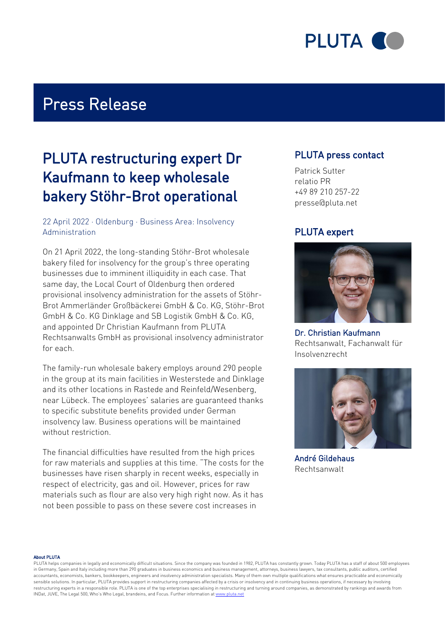

# Press Release

# PLUTA restructuring expert Dr Kaufmann to keep wholesale bakery Stöhr-Brot operational

### 22 April 2022 · Oldenburg · Business Area: Insolvency Administration

On 21 April 2022, the long-standing Stöhr-Brot wholesale bakery filed for insolvency for the group's three operating businesses due to imminent illiquidity in each case. That same day, the Local Court of Oldenburg then ordered provisional insolvency administration for the assets of Stöhr-Brot Ammerländer Großbäckerei GmbH & Co. KG, Stöhr-Brot GmbH & Co. KG Dinklage and SB Logistik GmbH & Co. KG, and appointed Dr Christian Kaufmann from PLUTA Rechtsanwalts GmbH as provisional insolvency administrator for each.

The family-run wholesale bakery employs around 290 people in the group at its main facilities in Westerstede and Dinklage and its other locations in Rastede and Reinfeld/Wesenberg, near Lübeck. The employees' salaries are guaranteed thanks to specific substitute benefits provided under German insolvency law. Business operations will be maintained without restriction.

The financial difficulties have resulted from the high prices for raw materials and supplies at this time. "The costs for the businesses have risen sharply in recent weeks, especially in respect of electricity, gas and oil. However, prices for raw materials such as flour are also very high right now. As it has not been possible to pass on these severe cost increases in

## PLUTA press contact

Patrick Sutter relatio PR +49 89 210 257-22 presse@pluta.net

## PLUTA expert



Dr. Christian Kaufmann Rechtsanwalt, Fachanwalt für Insolvenzrecht



André Gildehaus Rechtsanwalt

#### About PLUTA

PLUTA helps companies in legally and economically difficult situations. Since the company was founded in 1982, PLUTA has constantly grown. Today PLUTA has a staff of about 500 employees in Germany, Spain and Italy including more than 290 graduates in business economics and business management, attorneys, business lawyers, tax consultants, public auditors, certified accountants, economists, bankers, bookkeepers, engineers and insolvency administration specialists. Many of them own multiple qualifications what ensures practicable and economically sensible solutions. In particular, PLUTA provides support in restructuring companies affected by a crisis or insolvency and in continuing business operations, if necessary by involving restructuring experts in a responsible role. PLUTA is one of the top enterprises specialising in restructuring and turning around companies, as demonstrated by rankings and awards from INDat, JUVE, The Legal 500, Who's Who Legal, brandeins, and Focus. Further information at [www.pluta.net](https:/www.pluta.net/en)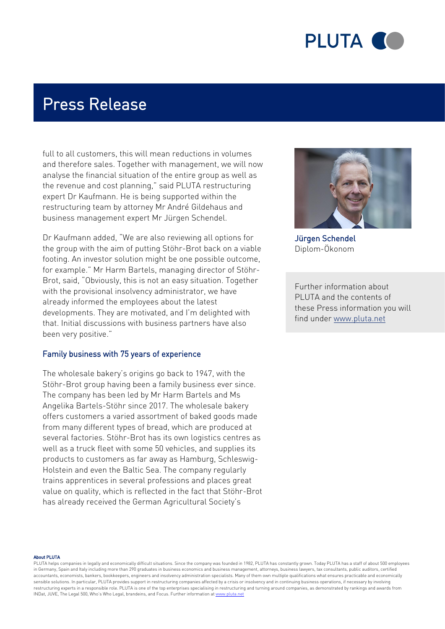

# Press Release

full to all customers, this will mean reductions in volumes and therefore sales. Together with management, we will now analyse the financial situation of the entire group as well as the revenue and cost planning," said PLUTA restructuring expert Dr Kaufmann. He is being supported within the restructuring team by attorney Mr André Gildehaus and business management expert Mr Jürgen Schendel.

Dr Kaufmann added, "We are also reviewing all options for the group with the aim of putting Stöhr-Brot back on a viable footing. An investor solution might be one possible outcome, for example." Mr Harm Bartels, managing director of Stöhr-Brot, said, "Obviously, this is not an easy situation. Together with the provisional insolvency administrator, we have already informed the employees about the latest developments. They are motivated, and I'm delighted with that. Initial discussions with business partners have also been very positive."

#### Family business with 75 years of experience

The wholesale bakery's origins go back to 1947, with the Stöhr-Brot group having been a family business ever since. The company has been led by Mr Harm Bartels and Ms Angelika Bartels-Stöhr since 2017. The wholesale bakery offers customers a varied assortment of baked goods made from many different types of bread, which are produced at several factories. Stöhr-Brot has its own logistics centres as well as a truck fleet with some 50 vehicles, and supplies its products to customers as far away as Hamburg, Schleswig-Holstein and even the Baltic Sea. The company regularly trains apprentices in several professions and places great value on quality, which is reflected in the fact that Stöhr-Brot has already received the German Agricultural Society's



Jürgen Schendel Diplom-Ökonom

Further information about PLUTA and the contents of these Press information you will find under [www.pluta.net](https://www.pluta.net)

#### About PLUTA

PLUTA helps companies in legally and economically difficult situations. Since the company was founded in 1982. PLUTA has constantly grown. Today PLUTA has a staff of about 500 employees in Germany, Spain and Italy including more than 290 graduates in business economics and business management, attorneys, business lawyers, tax consultants, public auditors, certified accountants, economists, bankers, bookkeepers, engineers and insolvency administration specialists. Many of them own multiple qualifications what ensures practicable and economically sensible solutions. In particular, PLUTA provides support in restructuring companies affected by a crisis or insolvency and in continuing business operations, if necessary by involving restructuring experts in a responsible role. PLUTA is one of the top enterprises specialising in restructuring and turning around companies, as demonstrated by rankings and awards from INDat, JUVE, The Legal 500, Who's Who Legal, brandeins, and Focus. Further information at [www.pluta.net](https:/www.pluta.net/en)